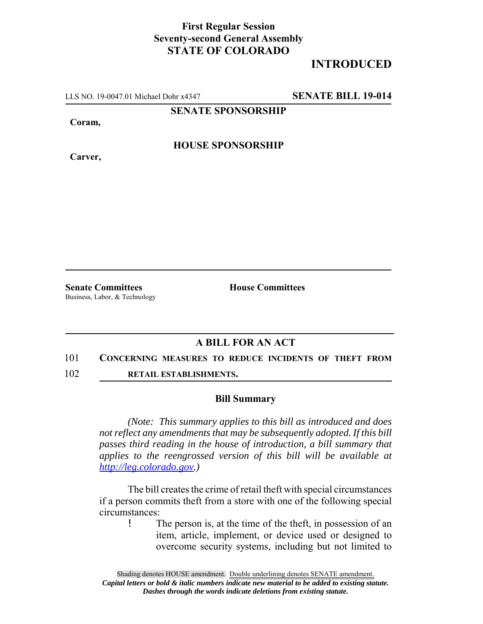## **First Regular Session Seventy-second General Assembly STATE OF COLORADO**

# **INTRODUCED**

LLS NO. 19-0047.01 Michael Dohr x4347 **SENATE BILL 19-014**

**SENATE SPONSORSHIP**

**Coram,**

**Carver,**

**HOUSE SPONSORSHIP**

Business, Labor, & Technology

**Senate Committees House Committees** 

### **A BILL FOR AN ACT**

#### 101 **CONCERNING MEASURES TO REDUCE INCIDENTS OF THEFT FROM**

102 **RETAIL ESTABLISHMENTS.**

### **Bill Summary**

*(Note: This summary applies to this bill as introduced and does not reflect any amendments that may be subsequently adopted. If this bill passes third reading in the house of introduction, a bill summary that applies to the reengrossed version of this bill will be available at http://leg.colorado.gov.)*

The bill creates the crime of retail theft with special circumstances if a person commits theft from a store with one of the following special circumstances:

! The person is, at the time of the theft, in possession of an item, article, implement, or device used or designed to overcome security systems, including but not limited to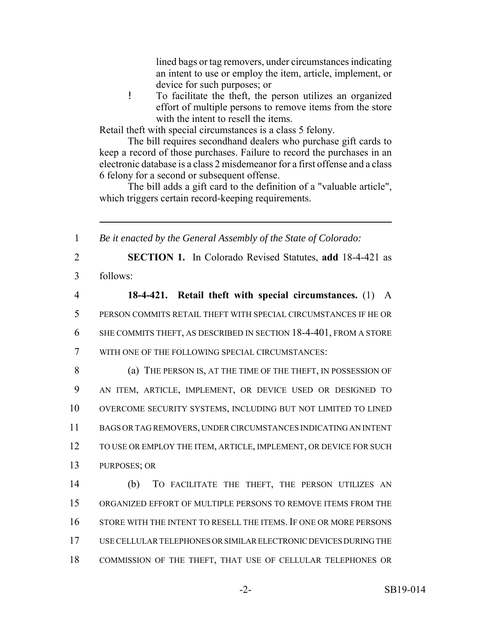lined bags or tag removers, under circumstances indicating an intent to use or employ the item, article, implement, or device for such purposes; or

! To facilitate the theft, the person utilizes an organized effort of multiple persons to remove items from the store with the intent to resell the items.

Retail theft with special circumstances is a class 5 felony.

The bill requires secondhand dealers who purchase gift cards to keep a record of those purchases. Failure to record the purchases in an electronic database is a class 2 misdemeanor for a first offense and a class 6 felony for a second or subsequent offense.

The bill adds a gift card to the definition of a "valuable article", which triggers certain record-keeping requirements.

1 *Be it enacted by the General Assembly of the State of Colorado:*

2 **SECTION 1.** In Colorado Revised Statutes, **add** 18-4-421 as 3 follows:

 **18-4-421. Retail theft with special circumstances.** (1) A PERSON COMMITS RETAIL THEFT WITH SPECIAL CIRCUMSTANCES IF HE OR SHE COMMITS THEFT, AS DESCRIBED IN SECTION 18-4-401, FROM A STORE WITH ONE OF THE FOLLOWING SPECIAL CIRCUMSTANCES:

8 (a) THE PERSON IS, AT THE TIME OF THE THEFT, IN POSSESSION OF AN ITEM, ARTICLE, IMPLEMENT, OR DEVICE USED OR DESIGNED TO OVERCOME SECURITY SYSTEMS, INCLUDING BUT NOT LIMITED TO LINED BAGS OR TAG REMOVERS, UNDER CIRCUMSTANCES INDICATING AN INTENT 12 TO USE OR EMPLOY THE ITEM, ARTICLE, IMPLEMENT, OR DEVICE FOR SUCH PURPOSES; OR

 (b) TO FACILITATE THE THEFT, THE PERSON UTILIZES AN ORGANIZED EFFORT OF MULTIPLE PERSONS TO REMOVE ITEMS FROM THE STORE WITH THE INTENT TO RESELL THE ITEMS. IF ONE OR MORE PERSONS USE CELLULAR TELEPHONES OR SIMILAR ELECTRONIC DEVICES DURING THE COMMISSION OF THE THEFT, THAT USE OF CELLULAR TELEPHONES OR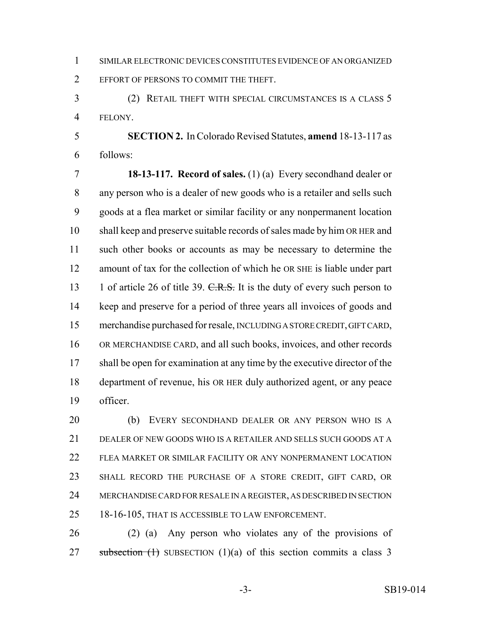SIMILAR ELECTRONIC DEVICES CONSTITUTES EVIDENCE OF AN ORGANIZED EFFORT OF PERSONS TO COMMIT THE THEFT.

 (2) RETAIL THEFT WITH SPECIAL CIRCUMSTANCES IS A CLASS 5 FELONY.

 **SECTION 2.** In Colorado Revised Statutes, **amend** 18-13-117 as follows:

 **18-13-117. Record of sales.** (1) (a) Every secondhand dealer or any person who is a dealer of new goods who is a retailer and sells such goods at a flea market or similar facility or any nonpermanent location shall keep and preserve suitable records of sales made by him OR HER and such other books or accounts as may be necessary to determine the amount of tax for the collection of which he OR SHE is liable under part 13 1 of article 26 of title 39. C.R.S. It is the duty of every such person to keep and preserve for a period of three years all invoices of goods and merchandise purchased for resale, INCLUDING A STORE CREDIT, GIFT CARD, OR MERCHANDISE CARD, and all such books, invoices, and other records 17 shall be open for examination at any time by the executive director of the department of revenue, his OR HER duly authorized agent, or any peace officer.

 (b) EVERY SECONDHAND DEALER OR ANY PERSON WHO IS A DEALER OF NEW GOODS WHO IS A RETAILER AND SELLS SUCH GOODS AT A FLEA MARKET OR SIMILAR FACILITY OR ANY NONPERMANENT LOCATION SHALL RECORD THE PURCHASE OF A STORE CREDIT, GIFT CARD, OR MERCHANDISE CARD FOR RESALE IN A REGISTER, AS DESCRIBED IN SECTION 18-16-105, THAT IS ACCESSIBLE TO LAW ENFORCEMENT.

 (2) (a) Any person who violates any of the provisions of 27 subsection  $(1)$  SUBSECTION  $(1)(a)$  of this section commits a class 3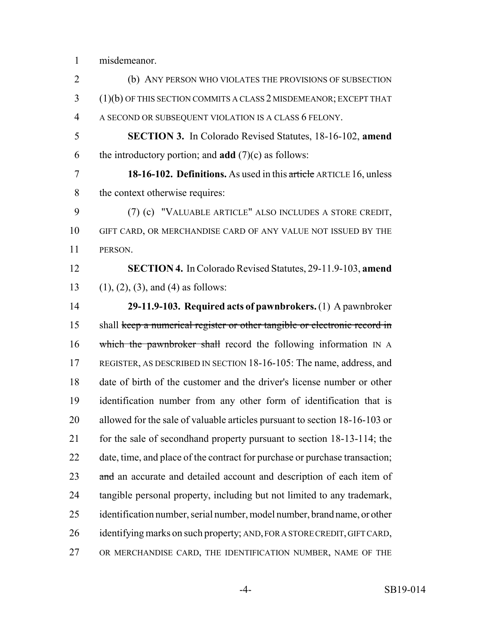misdemeanor.

| $\overline{2}$ | (b) ANY PERSON WHO VIOLATES THE PROVISIONS OF SUBSECTION                    |
|----------------|-----------------------------------------------------------------------------|
| 3              | $(1)(b)$ OF THIS SECTION COMMITS A CLASS 2 MISDEMEANOR; EXCEPT THAT         |
| $\overline{4}$ | A SECOND OR SUBSEQUENT VIOLATION IS A CLASS 6 FELONY.                       |
| 5              | <b>SECTION 3.</b> In Colorado Revised Statutes, 18-16-102, amend            |
| 6              | the introductory portion; and <b>add</b> $(7)(c)$ as follows:               |
| $\overline{7}$ | 18-16-102. Definitions. As used in this article ARTICLE 16, unless          |
| 8              | the context otherwise requires:                                             |
| 9              | (7) (c) "VALUABLE ARTICLE" ALSO INCLUDES A STORE CREDIT,                    |
| 10             | GIFT CARD, OR MERCHANDISE CARD OF ANY VALUE NOT ISSUED BY THE               |
| 11             | PERSON.                                                                     |
| 12             | <b>SECTION 4.</b> In Colorado Revised Statutes, 29-11.9-103, amend          |
| 13             | $(1), (2), (3),$ and $(4)$ as follows:                                      |
| 14             | 29-11.9-103. Required acts of pawnbrokers. (1) A pawnbroker                 |
| 15             | shall keep a numerical register or other tangible or electronic record in   |
| 16             | which the pawnbroker shall record the following information IN A            |
| 17             | REGISTER, AS DESCRIBED IN SECTION 18-16-105: The name, address, and         |
| 18             | date of birth of the customer and the driver's license number or other      |
| 19             | identification number from any other form of identification that is         |
| 20             | allowed for the sale of valuable articles pursuant to section 18-16-103 or  |
| 21             | for the sale of secondhand property pursuant to section 18-13-114; the      |
| 22             | date, time, and place of the contract for purchase or purchase transaction; |
| 23             | and an accurate and detailed account and description of each item of        |
| 24             | tangible personal property, including but not limited to any trademark,     |
| 25             | identification number, serial number, model number, brand name, or other    |
| 26             | identifying marks on such property; AND, FOR A STORE CREDIT, GIFT CARD,     |
|                |                                                                             |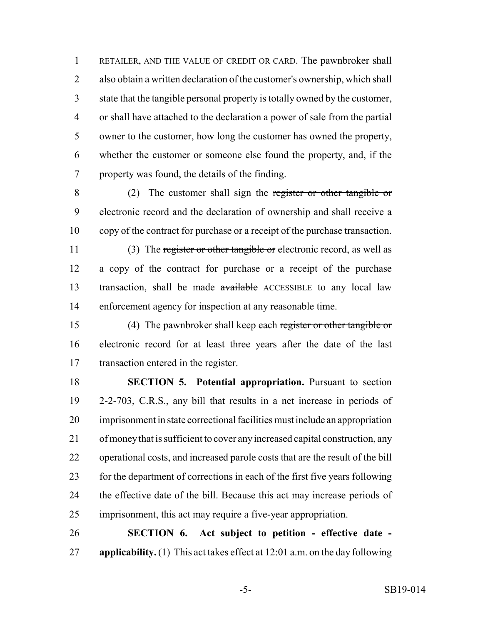RETAILER, AND THE VALUE OF CREDIT OR CARD. The pawnbroker shall also obtain a written declaration of the customer's ownership, which shall state that the tangible personal property is totally owned by the customer, or shall have attached to the declaration a power of sale from the partial owner to the customer, how long the customer has owned the property, whether the customer or someone else found the property, and, if the property was found, the details of the finding.

 (2) The customer shall sign the register or other tangible or electronic record and the declaration of ownership and shall receive a copy of the contract for purchase or a receipt of the purchase transaction.

11 (3) The register or other tangible or electronic record, as well as a copy of the contract for purchase or a receipt of the purchase transaction, shall be made available ACCESSIBLE to any local law enforcement agency for inspection at any reasonable time.

 (4) The pawnbroker shall keep each register or other tangible or electronic record for at least three years after the date of the last transaction entered in the register.

 **SECTION 5. Potential appropriation.** Pursuant to section 2-2-703, C.R.S., any bill that results in a net increase in periods of imprisonment in state correctional facilities must include an appropriation of money that is sufficient to cover any increased capital construction, any operational costs, and increased parole costs that are the result of the bill for the department of corrections in each of the first five years following the effective date of the bill. Because this act may increase periods of imprisonment, this act may require a five-year appropriation.

 **SECTION 6. Act subject to petition - effective date - applicability.** (1) This act takes effect at 12:01 a.m. on the day following